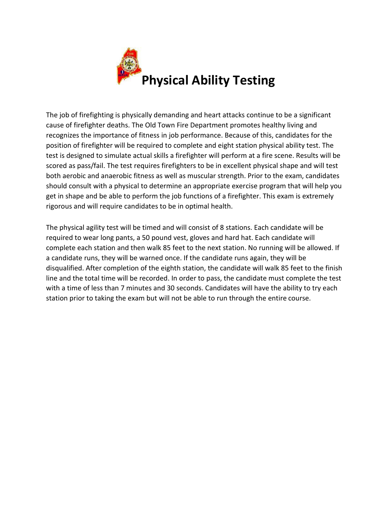

The job of firefighting is physically demanding and heart attacks continue to be a significant cause of firefighter deaths. The Old Town Fire Department promotes healthy living and recognizes the importance of fitness in job performance. Because of this, candidates for the position of firefighter will be required to complete and eight station physical ability test. The test is designed to simulate actual skills a firefighter will perform at a fire scene. Results will be scored as pass/fail. The test requires firefighters to be in excellent physical shape and will test both aerobic and anaerobic fitness as well as muscular strength. Prior to the exam, candidates should consult with a physical to determine an appropriate exercise program that will help you get in shape and be able to perform the job functions of a firefighter. This exam is extremely rigorous and will require candidates to be in optimal health.

The physical agility test will be timed and will consist of 8 stations. Each candidate will be required to wear long pants, a 50 pound vest, gloves and hard hat. Each candidate will complete each station and then walk 85 feet to the next station. No running will be allowed. If a candidate runs, they will be warned once. If the candidate runs again, they will be disqualified. After completion of the eighth station, the candidate will walk 85 feet to the finish line and the total time will be recorded. In order to pass, the candidate must complete the test with a time of less than 7 minutes and 30 seconds. Candidates will have the ability to try each station prior to taking the exam but will not be able to run through the entire course.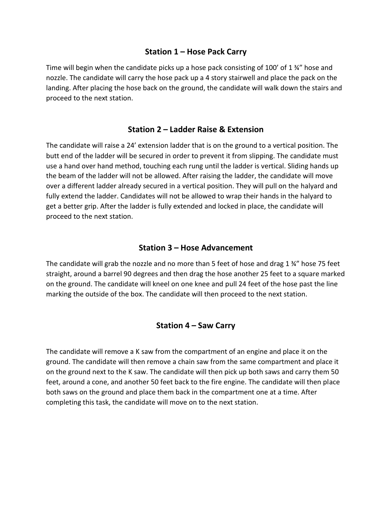## **Station 1 – Hose Pack Carry**

Time will begin when the candidate picks up a hose pack consisting of 100' of 1 $\frac{3}{4}$ " hose and nozzle. The candidate will carry the hose pack up a 4 story stairwell and place the pack on the landing. After placing the hose back on the ground, the candidate will walk down the stairs and proceed to the next station.

# **Station 2 – Ladder Raise & Extension**

The candidate will raise a 24' extension ladder that is on the ground to a vertical position. The butt end of the ladder will be secured in order to prevent it from slipping. The candidate must use a hand over hand method, touching each rung until the ladder is vertical. Sliding hands up the beam of the ladder will not be allowed. After raising the ladder, the candidate will move over a different ladder already secured in a vertical position. They will pull on the halyard and fully extend the ladder. Candidates will not be allowed to wrap their hands in the halyard to get a better grip. After the ladder is fully extended and locked in place, the candidate will proceed to the next station.

### **Station 3 – Hose Advancement**

The candidate will grab the nozzle and no more than 5 feet of hose and drag 1 ¾" hose 75 feet straight, around a barrel 90 degrees and then drag the hose another 25 feet to a square marked on the ground. The candidate will kneel on one knee and pull 24 feet of the hose past the line marking the outside of the box. The candidate will then proceed to the next station.

### **Station 4 – Saw Carry**

The candidate will remove a K saw from the compartment of an engine and place it on the ground. The candidate will then remove a chain saw from the same compartment and place it on the ground next to the K saw. The candidate will then pick up both saws and carry them 50 feet, around a cone, and another 50 feet back to the fire engine. The candidate will then place both saws on the ground and place them back in the compartment one at a time. After completing this task, the candidate will move on to the next station.